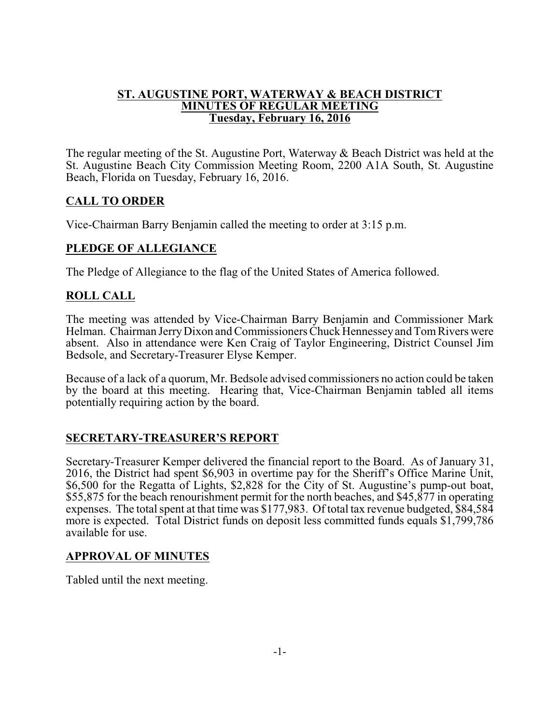#### **ST. AUGUSTINE PORT, WATERWAY & BEACH DISTRICT MINUTES OF REGULAR MEETING Tuesday, February 16, 2016**

The regular meeting of the St. Augustine Port, Waterway & Beach District was held at the St. Augustine Beach City Commission Meeting Room, 2200 A1A South, St. Augustine Beach, Florida on Tuesday, February 16, 2016.

## **CALL TO ORDER**

Vice-Chairman Barry Benjamin called the meeting to order at 3:15 p.m.

# **PLEDGE OF ALLEGIANCE**

The Pledge of Allegiance to the flag of the United States of America followed.

# **ROLL CALL**

The meeting was attended by Vice-Chairman Barry Benjamin and Commissioner Mark Helman. Chairman JerryDixon and Commissioners Chuck Hennesseyand TomRivers were absent. Also in attendance were Ken Craig of Taylor Engineering, District Counsel Jim Bedsole, and Secretary-Treasurer Elyse Kemper.

Because of a lack of a quorum, Mr. Bedsole advised commissioners no action could be taken by the board at this meeting. Hearing that, Vice-Chairman Benjamin tabled all items potentially requiring action by the board.

## **SECRETARY-TREASURER'S REPORT**

Secretary-Treasurer Kemper delivered the financial report to the Board. As of January 31, 2016, the District had spent \$6,903 in overtime pay for the Sheriff's Office Marine Unit, \$6,500 for the Regatta of Lights, \$2,828 for the City of St. Augustine's pump-out boat, \$55,875 for the beach renourishment permit for the north beaches, and \$45,877 in operating expenses. The total spent at that time was \$177,983. Of total tax revenue budgeted, \$84,584 more is expected. Total District funds on deposit less committed funds equals \$1,799,786 available for use.

## **APPROVAL OF MINUTES**

Tabled until the next meeting.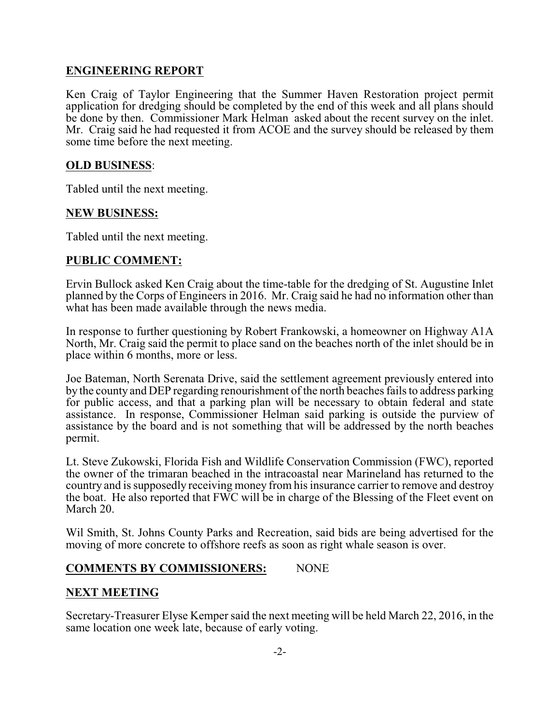#### **ENGINEERING REPORT**

Ken Craig of Taylor Engineering that the Summer Haven Restoration project permit application for dredging should be completed by the end of this week and all plans should be done by then. Commissioner Mark Helman asked about the recent survey on the inlet. Mr. Craig said he had requested it from ACOE and the survey should be released by them some time before the next meeting.

#### **OLD BUSINESS**:

Tabled until the next meeting.

#### **NEW BUSINESS:**

Tabled until the next meeting.

#### **PUBLIC COMMENT:**

Ervin Bullock asked Ken Craig about the time-table for the dredging of St. Augustine Inlet planned by the Corps of Engineers in 2016. Mr. Craig said he had no information other than what has been made available through the news media.

In response to further questioning by Robert Frankowski, a homeowner on Highway A1A North, Mr. Craig said the permit to place sand on the beaches north of the inlet should be in place within 6 months, more or less.

Joe Bateman, North Serenata Drive, said the settlement agreement previously entered into by the county and DEP regarding renourishment of the north beaches fails to address parking for public access, and that a parking plan will be necessary to obtain federal and state assistance. In response, Commissioner Helman said parking is outside the purview of assistance by the board and is not something that will be addressed by the north beaches permit.

Lt. Steve Zukowski, Florida Fish and Wildlife Conservation Commission (FWC), reported the owner of the trimaran beached in the intracoastal near Marineland has returned to the country and is supposedly receiving money from his insurance carrier to remove and destroy the boat. He also reported that FWC will be in charge of the Blessing of the Fleet event on March 20.

Wil Smith, St. Johns County Parks and Recreation, said bids are being advertised for the moving of more concrete to offshore reefs as soon as right whale season is over.

#### **COMMENTS BY COMMISSIONERS:** NONE

#### **NEXT MEETING**

Secretary-Treasurer Elyse Kemper said the next meeting will be held March 22, 2016, in the same location one week late, because of early voting.